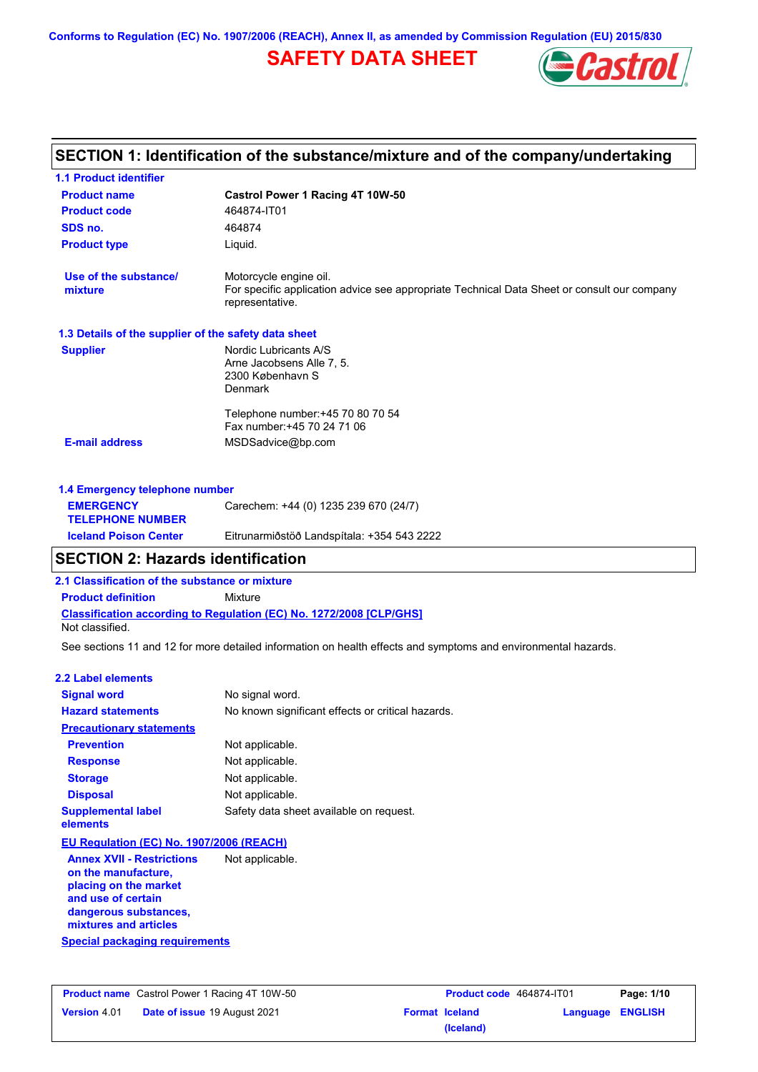**Conforms to Regulation (EC) No. 1907/2006 (REACH), Annex II, as amended by Commission Regulation (EU) 2015/830**

## **SAFETY DATA SHEET**



|                                                      | SECTION 1: Identification of the substance/mixture and of the company/undertaking                              |
|------------------------------------------------------|----------------------------------------------------------------------------------------------------------------|
| <b>1.1 Product identifier</b>                        |                                                                                                                |
| <b>Product name</b>                                  | Castrol Power 1 Racing 4T 10W-50                                                                               |
| <b>Product code</b>                                  | 464874-IT01                                                                                                    |
| SDS no.                                              | 464874                                                                                                         |
| <b>Product type</b>                                  | Liquid.                                                                                                        |
| Use of the substance/                                | Motorcycle engine oil.                                                                                         |
| mixture                                              | For specific application advice see appropriate Technical Data Sheet or consult our company<br>representative. |
| 1.3 Details of the supplier of the safety data sheet |                                                                                                                |
| <b>Supplier</b>                                      | Nordic Lubricants A/S                                                                                          |
|                                                      | Arne Jacobsens Alle 7, 5.<br>2300 København S                                                                  |
|                                                      | Denmark                                                                                                        |
|                                                      | Telephone number: +45 70 80 70 54                                                                              |
|                                                      | Fax number: +45 70 24 71 06                                                                                    |
| <b>E-mail address</b>                                | MSDSadvice@bp.com                                                                                              |
| 1.4 Emergency telephone number                       |                                                                                                                |
| <b>EMERGENCY</b><br><b>TELEPHONE NUMBER</b>          | Carechem: +44 (0) 1235 239 670 (24/7)                                                                          |

## **SECTION 2: Hazards identification**

**2.1 Classification of the substance or mixture**

**Classification according to Regulation (EC) No. 1272/2008 [CLP/GHS] Product definition** Mixture

**Iceland Poison Center** Eitrunarmiðstöð Landspítala: +354 543 2222

Not classified.

See sections 11 and 12 for more detailed information on health effects and symptoms and environmental hazards.

#### **2.2 Label elements**

| <b>Signal word</b>                                                                                              | No signal word.                                   |
|-----------------------------------------------------------------------------------------------------------------|---------------------------------------------------|
| <b>Hazard statements</b>                                                                                        | No known significant effects or critical hazards. |
| <b>Precautionary statements</b>                                                                                 |                                                   |
| <b>Prevention</b>                                                                                               | Not applicable.                                   |
| <b>Response</b>                                                                                                 | Not applicable.                                   |
| <b>Storage</b>                                                                                                  | Not applicable.                                   |
| <b>Disposal</b>                                                                                                 | Not applicable.                                   |
| <b>Supplemental label</b><br>elements                                                                           | Safety data sheet available on request.           |
| EU Regulation (EC) No. 1907/2006 (REACH)                                                                        |                                                   |
| <b>Annex XVII - Restrictions</b><br>on the manufacture,<br>placing on the market<br>امتلحك ومالكم المصدد المعرم | Not applicable.                                   |

**Special packaging requirements and use of certain dangerous substances, mixtures and articles**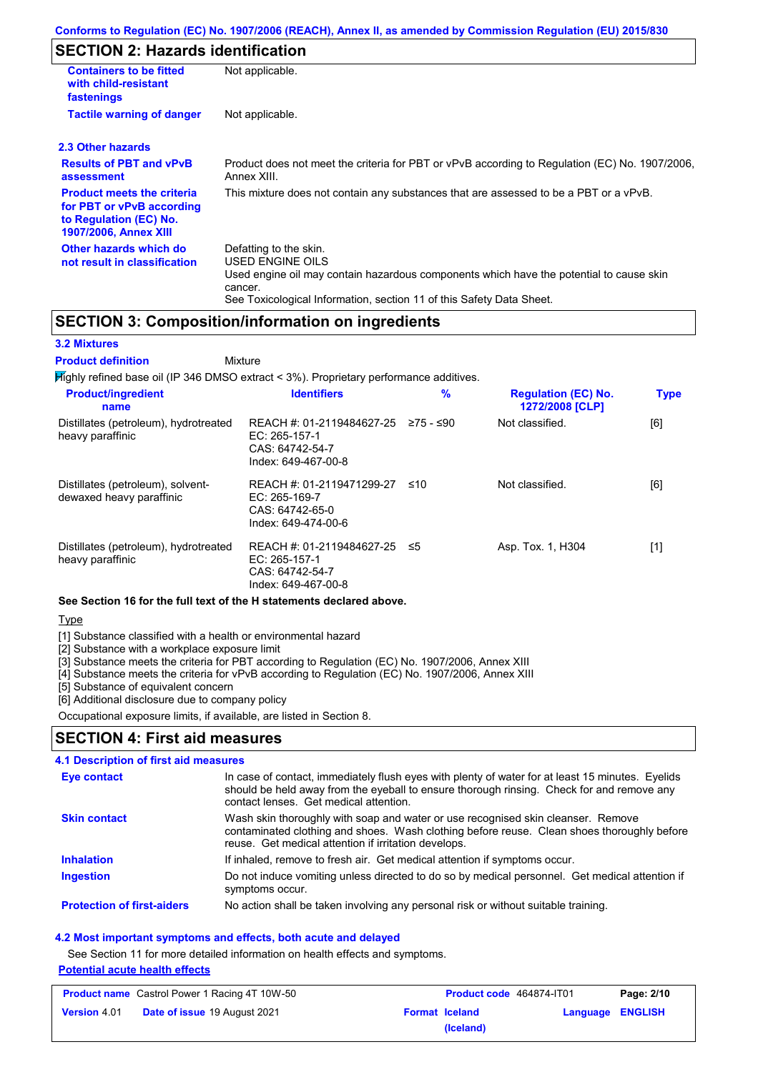## **SECTION 2: Hazards identification**

| <b>Containers to be fitted</b><br>with child-resistant<br>fastenings                                                                                                                                                                                                               | Not applicable.                                                                                               |  |  |
|------------------------------------------------------------------------------------------------------------------------------------------------------------------------------------------------------------------------------------------------------------------------------------|---------------------------------------------------------------------------------------------------------------|--|--|
| <b>Tactile warning of danger</b>                                                                                                                                                                                                                                                   | Not applicable.                                                                                               |  |  |
| 2.3 Other hazards                                                                                                                                                                                                                                                                  |                                                                                                               |  |  |
| <b>Results of PBT and vPvB</b><br>assessment                                                                                                                                                                                                                                       | Product does not meet the criteria for PBT or vPvB according to Regulation (EC) No. 1907/2006.<br>Annex XIII. |  |  |
| <b>Product meets the criteria</b><br>for PBT or vPvB according<br>to Regulation (EC) No.<br><b>1907/2006, Annex XIII</b>                                                                                                                                                           | This mixture does not contain any substances that are assessed to be a PBT or a vPvB.                         |  |  |
| Other hazards which do<br>Defatting to the skin.<br>USED ENGINE OILS<br>not result in classification<br>Used engine oil may contain hazardous components which have the potential to cause skin<br>cancer.<br>See Toxicological Information, section 11 of this Safety Data Sheet. |                                                                                                               |  |  |

### **SECTION 3: Composition/information on ingredients**

#### **3.2 Mixtures**

Mixture **Product definition**

| $H$ ighly refined base oil (IP 346 DMSO extract < 3%). Proprietary performance additives. |                                                                                        |           |                                               |             |  |
|-------------------------------------------------------------------------------------------|----------------------------------------------------------------------------------------|-----------|-----------------------------------------------|-------------|--|
| <b>Product/ingredient</b><br>name                                                         | <b>Identifiers</b>                                                                     | $\%$      | <b>Regulation (EC) No.</b><br>1272/2008 [CLP] | <b>Type</b> |  |
| Distillates (petroleum), hydrotreated<br>heavy paraffinic                                 | REACH #: 01-2119484627-25<br>EC: $265-157-1$<br>CAS: 64742-54-7<br>Index: 649-467-00-8 | 275 - ≤90 | Not classified.                               | [6]         |  |
| Distillates (petroleum), solvent-<br>dewaxed heavy paraffinic                             | REACH #: 01-2119471299-27<br>EC: $265-169-7$<br>CAS: 64742-65-0<br>Index: 649-474-00-6 | ≤10       | Not classified.                               | [6]         |  |
| Distillates (petroleum), hydrotreated<br>heavy paraffinic                                 | REACH #: 01-2119484627-25<br>EC: 265-157-1<br>CAS: 64742-54-7<br>Index: 649-467-00-8   | -≤5       | Asp. Tox. 1, H304                             | [1]         |  |

**See Section 16 for the full text of the H statements declared above.**

**Type** 

[1] Substance classified with a health or environmental hazard

[2] Substance with a workplace exposure limit

[3] Substance meets the criteria for PBT according to Regulation (EC) No. 1907/2006, Annex XIII

[4] Substance meets the criteria for vPvB according to Regulation (EC) No. 1907/2006, Annex XIII

[5] Substance of equivalent concern

[6] Additional disclosure due to company policy

Occupational exposure limits, if available, are listed in Section 8.

### **SECTION 4: First aid measures**

#### **4.1 Description of first aid measures**

| Eye contact                       | In case of contact, immediately flush eyes with plenty of water for at least 15 minutes. Eyelids<br>should be held away from the eyeball to ensure thorough rinsing. Check for and remove any<br>contact lenses. Get medical attention. |
|-----------------------------------|-----------------------------------------------------------------------------------------------------------------------------------------------------------------------------------------------------------------------------------------|
| <b>Skin contact</b>               | Wash skin thoroughly with soap and water or use recognised skin cleanser. Remove<br>contaminated clothing and shoes. Wash clothing before reuse. Clean shoes thoroughly before<br>reuse. Get medical attention if irritation develops.  |
| <b>Inhalation</b>                 | If inhaled, remove to fresh air. Get medical attention if symptoms occur.                                                                                                                                                               |
| <b>Ingestion</b>                  | Do not induce vomiting unless directed to do so by medical personnel. Get medical attention if<br>symptoms occur.                                                                                                                       |
| <b>Protection of first-aiders</b> | No action shall be taken involving any personal risk or without suitable training.                                                                                                                                                      |

#### **4.2 Most important symptoms and effects, both acute and delayed**

See Section 11 for more detailed information on health effects and symptoms.

**Potential acute health effects**

| <b>Product name</b> Castrol Power 1 Racing 4T 10W-50 |                                     | <b>Product code</b> 464874-IT01 |                       | Page: 2/10              |  |
|------------------------------------------------------|-------------------------------------|---------------------------------|-----------------------|-------------------------|--|
| <b>Version 4.01</b>                                  | <b>Date of issue 19 August 2021</b> |                                 | <b>Format Iceland</b> | <b>Language ENGLISH</b> |  |
|                                                      |                                     |                                 | (Iceland)             |                         |  |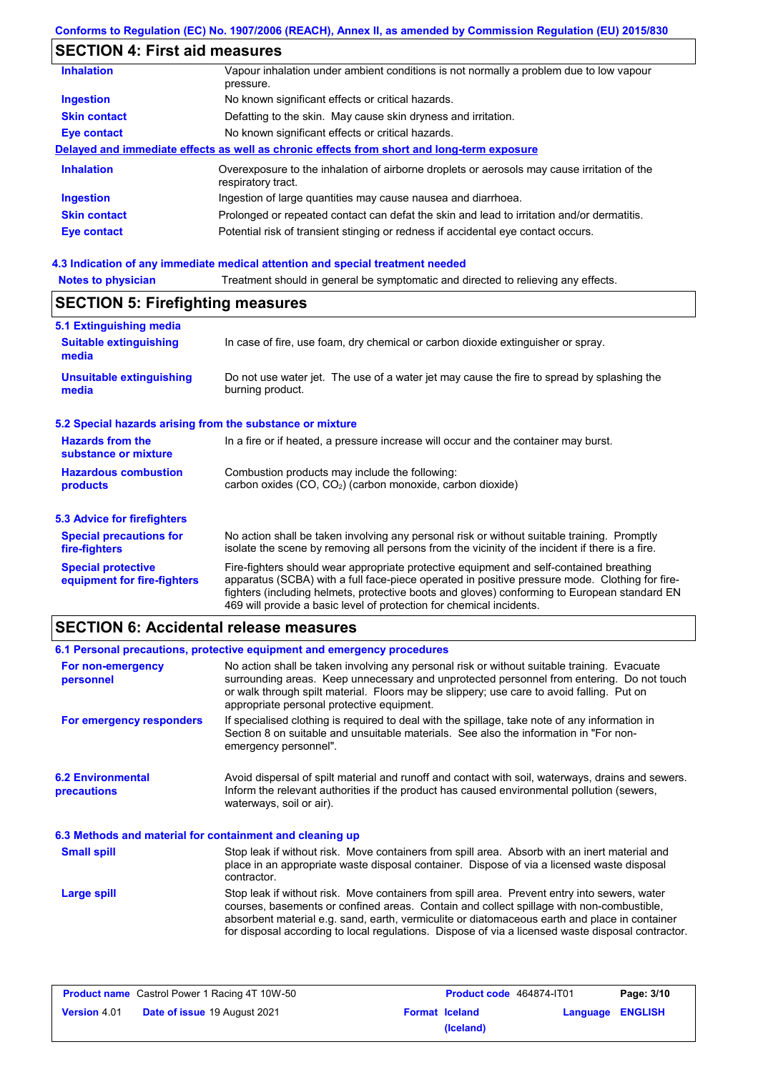### **Conforms to Regulation (EC) No. 1907/2006 (REACH), Annex II, as amended by Commission Regulation (EU) 2015/830**

## **SECTION 4: First aid measures**

| <b>Inhalation</b>   | Vapour inhalation under ambient conditions is not normally a problem due to low vapour<br>pressure.               |  |  |
|---------------------|-------------------------------------------------------------------------------------------------------------------|--|--|
| <b>Ingestion</b>    | No known significant effects or critical hazards.                                                                 |  |  |
| <b>Skin contact</b> | Defatting to the skin. May cause skin dryness and irritation.                                                     |  |  |
| Eye contact         | No known significant effects or critical hazards.                                                                 |  |  |
|                     | Delayed and immediate effects as well as chronic effects from short and long-term exposure                        |  |  |
| <b>Inhalation</b>   | Overexposure to the inhalation of airborne droplets or aerosols may cause irritation of the<br>respiratory tract. |  |  |
| <b>Ingestion</b>    | Ingestion of large quantities may cause nausea and diarrhoea.                                                     |  |  |
| <b>Skin contact</b> | Prolonged or repeated contact can defat the skin and lead to irritation and/or dermatitis.                        |  |  |
| Eye contact         | Potential risk of transient stinging or redness if accidental eye contact occurs.                                 |  |  |
|                     |                                                                                                                   |  |  |

## **4.3 Indication of any immediate medical attention and special treatment needed**

| <b>Notes to physician</b>               | Treatment should in general be symptomatic and directed to relieving any effects. |
|-----------------------------------------|-----------------------------------------------------------------------------------|
| <b>SECTION 5: Firefighting measures</b> |                                                                                   |

| 5.1 Extinguishing media                                   |                                                                                                                                                                                                                                                                                                                                                                   |  |  |
|-----------------------------------------------------------|-------------------------------------------------------------------------------------------------------------------------------------------------------------------------------------------------------------------------------------------------------------------------------------------------------------------------------------------------------------------|--|--|
| <b>Suitable extinguishing</b><br>media                    | In case of fire, use foam, dry chemical or carbon dioxide extinguisher or spray.                                                                                                                                                                                                                                                                                  |  |  |
| <b>Unsuitable extinguishing</b><br>media                  | Do not use water jet. The use of a water jet may cause the fire to spread by splashing the<br>burning product.                                                                                                                                                                                                                                                    |  |  |
| 5.2 Special hazards arising from the substance or mixture |                                                                                                                                                                                                                                                                                                                                                                   |  |  |
| <b>Hazards from the</b><br>substance or mixture           | In a fire or if heated, a pressure increase will occur and the container may burst.                                                                                                                                                                                                                                                                               |  |  |
| <b>Hazardous combustion</b><br>products                   | Combustion products may include the following:<br>carbon oxides (CO, CO <sub>2</sub> ) (carbon monoxide, carbon dioxide)                                                                                                                                                                                                                                          |  |  |
| 5.3 Advice for firefighters                               |                                                                                                                                                                                                                                                                                                                                                                   |  |  |
| <b>Special precautions for</b><br>fire-fighters           | No action shall be taken involving any personal risk or without suitable training. Promptly<br>isolate the scene by removing all persons from the vicinity of the incident if there is a fire.                                                                                                                                                                    |  |  |
| <b>Special protective</b><br>equipment for fire-fighters  | Fire-fighters should wear appropriate protective equipment and self-contained breathing<br>apparatus (SCBA) with a full face-piece operated in positive pressure mode. Clothing for fire-<br>fighters (including helmets, protective boots and gloves) conforming to European standard EN<br>469 will provide a basic level of protection for chemical incidents. |  |  |

# **SECTION 6: Accidental release measures**

|                                                          | 6.1 Personal precautions, protective equipment and emergency procedures                                                                                                                                                                                                                                                                                                                        |  |  |
|----------------------------------------------------------|------------------------------------------------------------------------------------------------------------------------------------------------------------------------------------------------------------------------------------------------------------------------------------------------------------------------------------------------------------------------------------------------|--|--|
| For non-emergency<br>personnel                           | No action shall be taken involving any personal risk or without suitable training. Evacuate<br>surrounding areas. Keep unnecessary and unprotected personnel from entering. Do not touch<br>or walk through spilt material. Floors may be slippery; use care to avoid falling. Put on<br>appropriate personal protective equipment.                                                            |  |  |
| For emergency responders                                 | If specialised clothing is required to deal with the spillage, take note of any information in<br>Section 8 on suitable and unsuitable materials. See also the information in "For non-<br>emergency personnel".                                                                                                                                                                               |  |  |
| <b>6.2 Environmental</b><br>precautions                  | Avoid dispersal of spilt material and runoff and contact with soil, waterways, drains and sewers.<br>Inform the relevant authorities if the product has caused environmental pollution (sewers,<br>waterways, soil or air).                                                                                                                                                                    |  |  |
| 6.3 Methods and material for containment and cleaning up |                                                                                                                                                                                                                                                                                                                                                                                                |  |  |
| <b>Small spill</b>                                       | Stop leak if without risk. Move containers from spill area. Absorb with an inert material and<br>place in an appropriate waste disposal container. Dispose of via a licensed waste disposal<br>contractor.                                                                                                                                                                                     |  |  |
| Large spill                                              | Stop leak if without risk. Move containers from spill area. Prevent entry into sewers, water<br>courses, basements or confined areas. Contain and collect spillage with non-combustible,<br>absorbent material e.g. sand, earth, vermiculite or diatomaceous earth and place in container<br>for disposal according to local regulations. Dispose of via a licensed waste disposal contractor. |  |  |

| <b>Product name</b> Castrol Power 1 Racing 4T 10W-50 |                                     | <b>Product code</b> 464874-IT01 |           | Page: 3/10       |  |
|------------------------------------------------------|-------------------------------------|---------------------------------|-----------|------------------|--|
| <b>Version</b> 4.01                                  | <b>Date of issue 19 August 2021</b> | <b>Format Iceland</b>           |           | Language ENGLISH |  |
|                                                      |                                     |                                 | (Iceland) |                  |  |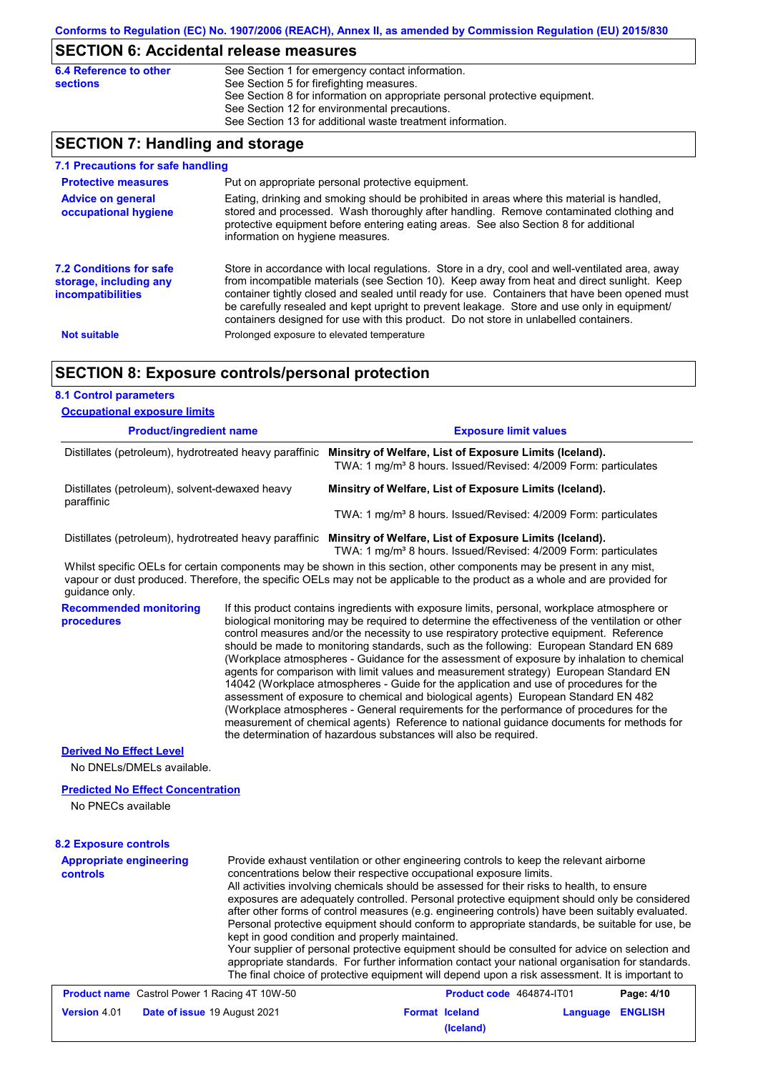# **SECTION 6: Accidental release measures**

| 6.4 Reference to other | See Section 1 for emergency contact information.                            |
|------------------------|-----------------------------------------------------------------------------|
| <b>sections</b>        | See Section 5 for firefighting measures.                                    |
|                        | See Section 8 for information on appropriate personal protective equipment. |
|                        | See Section 12 for environmental precautions.                               |
|                        | See Section 13 for additional waste treatment information.                  |
|                        |                                                                             |

## **SECTION 7: Handling and storage**

| 7.1 Precautions for safe handling                                                    |                                                                                                                                                                                                                                                                                                                                                                                                                                                                                          |
|--------------------------------------------------------------------------------------|------------------------------------------------------------------------------------------------------------------------------------------------------------------------------------------------------------------------------------------------------------------------------------------------------------------------------------------------------------------------------------------------------------------------------------------------------------------------------------------|
| <b>Protective measures</b>                                                           | Put on appropriate personal protective equipment.                                                                                                                                                                                                                                                                                                                                                                                                                                        |
| <b>Advice on general</b><br>occupational hygiene                                     | Eating, drinking and smoking should be prohibited in areas where this material is handled,<br>stored and processed. Wash thoroughly after handling. Remove contaminated clothing and<br>protective equipment before entering eating areas. See also Section 8 for additional<br>information on hygiene measures.                                                                                                                                                                         |
| <b>7.2 Conditions for safe</b><br>storage, including any<br><i>incompatibilities</i> | Store in accordance with local requiations. Store in a dry, cool and well-ventilated area, away<br>from incompatible materials (see Section 10). Keep away from heat and direct sunlight. Keep<br>container tightly closed and sealed until ready for use. Containers that have been opened must<br>be carefully resealed and kept upright to prevent leakage. Store and use only in equipment/<br>containers designed for use with this product. Do not store in unlabelled containers. |
| <b>Not suitable</b>                                                                  | Prolonged exposure to elevated temperature                                                                                                                                                                                                                                                                                                                                                                                                                                               |

## **SECTION 8: Exposure controls/personal protection**

| <b>8.1 Control parameters</b>                                                                                                                                                                                                                                          |  |                                                                                                                                                                                                                                                                                                                                                                                                                                                                                                                                                                                                                                                                                                                                                                                                                                                                                                                                                                                                                            |                                    |                  |            |
|------------------------------------------------------------------------------------------------------------------------------------------------------------------------------------------------------------------------------------------------------------------------|--|----------------------------------------------------------------------------------------------------------------------------------------------------------------------------------------------------------------------------------------------------------------------------------------------------------------------------------------------------------------------------------------------------------------------------------------------------------------------------------------------------------------------------------------------------------------------------------------------------------------------------------------------------------------------------------------------------------------------------------------------------------------------------------------------------------------------------------------------------------------------------------------------------------------------------------------------------------------------------------------------------------------------------|------------------------------------|------------------|------------|
| <b>Occupational exposure limits</b>                                                                                                                                                                                                                                    |  |                                                                                                                                                                                                                                                                                                                                                                                                                                                                                                                                                                                                                                                                                                                                                                                                                                                                                                                                                                                                                            |                                    |                  |            |
| <b>Product/ingredient name</b>                                                                                                                                                                                                                                         |  |                                                                                                                                                                                                                                                                                                                                                                                                                                                                                                                                                                                                                                                                                                                                                                                                                                                                                                                                                                                                                            | <b>Exposure limit values</b>       |                  |            |
|                                                                                                                                                                                                                                                                        |  | Distillates (petroleum), hydrotreated heavy paraffinic Minsitry of Welfare, List of Exposure Limits (Iceland).<br>TWA: 1 mg/m <sup>3</sup> 8 hours. Issued/Revised: 4/2009 Form: particulates                                                                                                                                                                                                                                                                                                                                                                                                                                                                                                                                                                                                                                                                                                                                                                                                                              |                                    |                  |            |
| Distillates (petroleum), solvent-dewaxed heavy<br>paraffinic                                                                                                                                                                                                           |  | Minsitry of Welfare, List of Exposure Limits (Iceland).                                                                                                                                                                                                                                                                                                                                                                                                                                                                                                                                                                                                                                                                                                                                                                                                                                                                                                                                                                    |                                    |                  |            |
|                                                                                                                                                                                                                                                                        |  | TWA: 1 mg/m <sup>3</sup> 8 hours. Issued/Revised: 4/2009 Form: particulates                                                                                                                                                                                                                                                                                                                                                                                                                                                                                                                                                                                                                                                                                                                                                                                                                                                                                                                                                |                                    |                  |            |
| Distillates (petroleum), hydrotreated heavy paraffinic Minsitry of Welfare, List of Exposure Limits (Iceland).                                                                                                                                                         |  | TWA: 1 mg/m <sup>3</sup> 8 hours. Issued/Revised: 4/2009 Form: particulates                                                                                                                                                                                                                                                                                                                                                                                                                                                                                                                                                                                                                                                                                                                                                                                                                                                                                                                                                |                                    |                  |            |
| Whilst specific OELs for certain components may be shown in this section, other components may be present in any mist,<br>vapour or dust produced. Therefore, the specific OELs may not be applicable to the product as a whole and are provided for<br>guidance only. |  |                                                                                                                                                                                                                                                                                                                                                                                                                                                                                                                                                                                                                                                                                                                                                                                                                                                                                                                                                                                                                            |                                    |                  |            |
| <b>Recommended monitoring</b><br>procedures                                                                                                                                                                                                                            |  | If this product contains ingredients with exposure limits, personal, workplace atmosphere or<br>biological monitoring may be required to determine the effectiveness of the ventilation or other<br>control measures and/or the necessity to use respiratory protective equipment. Reference<br>should be made to monitoring standards, such as the following: European Standard EN 689<br>(Workplace atmospheres - Guidance for the assessment of exposure by inhalation to chemical<br>agents for comparison with limit values and measurement strategy) European Standard EN<br>14042 (Workplace atmospheres - Guide for the application and use of procedures for the<br>assessment of exposure to chemical and biological agents) European Standard EN 482<br>(Workplace atmospheres - General requirements for the performance of procedures for the<br>measurement of chemical agents) Reference to national guidance documents for methods for<br>the determination of hazardous substances will also be required. |                                    |                  |            |
| <b>Derived No Effect Level</b><br>No DNELs/DMELs available.                                                                                                                                                                                                            |  |                                                                                                                                                                                                                                                                                                                                                                                                                                                                                                                                                                                                                                                                                                                                                                                                                                                                                                                                                                                                                            |                                    |                  |            |
| <b>Predicted No Effect Concentration</b>                                                                                                                                                                                                                               |  |                                                                                                                                                                                                                                                                                                                                                                                                                                                                                                                                                                                                                                                                                                                                                                                                                                                                                                                                                                                                                            |                                    |                  |            |
| No PNECs available                                                                                                                                                                                                                                                     |  |                                                                                                                                                                                                                                                                                                                                                                                                                                                                                                                                                                                                                                                                                                                                                                                                                                                                                                                                                                                                                            |                                    |                  |            |
| <b>8.2 Exposure controls</b>                                                                                                                                                                                                                                           |  |                                                                                                                                                                                                                                                                                                                                                                                                                                                                                                                                                                                                                                                                                                                                                                                                                                                                                                                                                                                                                            |                                    |                  |            |
| <b>Appropriate engineering</b><br><b>controls</b>                                                                                                                                                                                                                      |  | Provide exhaust ventilation or other engineering controls to keep the relevant airborne<br>concentrations below their respective occupational exposure limits.<br>All activities involving chemicals should be assessed for their risks to health, to ensure<br>exposures are adequately controlled. Personal protective equipment should only be considered<br>after other forms of control measures (e.g. engineering controls) have been suitably evaluated.<br>Personal protective equipment should conform to appropriate standards, be suitable for use, be<br>kept in good condition and properly maintained.<br>Your supplier of personal protective equipment should be consulted for advice on selection and<br>appropriate standards. For further information contact your national organisation for standards.<br>The final choice of protective equipment will depend upon a risk assessment. It is important to                                                                                              |                                    |                  |            |
| <b>Product name</b> Castrol Power 1 Racing 4T 10W-50                                                                                                                                                                                                                   |  |                                                                                                                                                                                                                                                                                                                                                                                                                                                                                                                                                                                                                                                                                                                                                                                                                                                                                                                                                                                                                            | Product code 464874-IT01           |                  | Page: 4/10 |
| Version 4.01<br>Date of issue 19 August 2021                                                                                                                                                                                                                           |  |                                                                                                                                                                                                                                                                                                                                                                                                                                                                                                                                                                                                                                                                                                                                                                                                                                                                                                                                                                                                                            | <b>Format Iceland</b><br>(Iceland) | Language ENGLISH |            |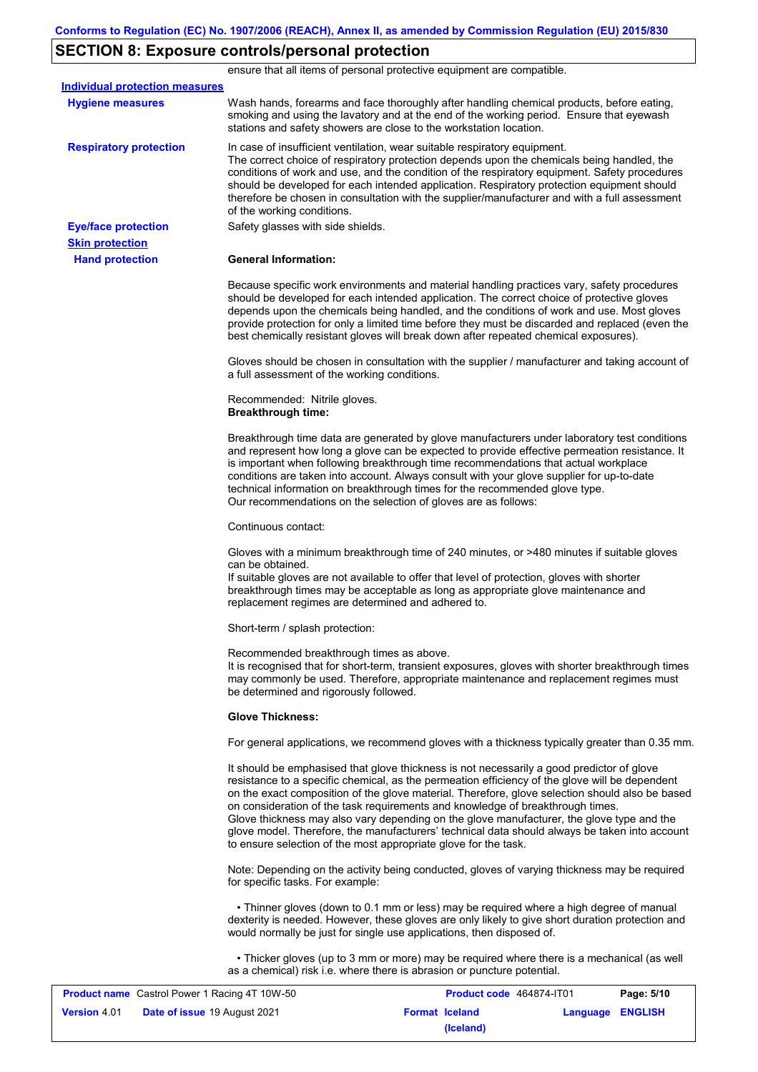# **SECTION 8: Exposure controls/personal protection**

|                                                      | ensure that all items of personal protective equipment are compatible.                                                                                                                                                                                                                                                                                                                                                                                                                                                                                                                                                                            |
|------------------------------------------------------|---------------------------------------------------------------------------------------------------------------------------------------------------------------------------------------------------------------------------------------------------------------------------------------------------------------------------------------------------------------------------------------------------------------------------------------------------------------------------------------------------------------------------------------------------------------------------------------------------------------------------------------------------|
| <b>Individual protection measures</b>                |                                                                                                                                                                                                                                                                                                                                                                                                                                                                                                                                                                                                                                                   |
| <b>Hygiene measures</b>                              | Wash hands, forearms and face thoroughly after handling chemical products, before eating,<br>smoking and using the lavatory and at the end of the working period. Ensure that eyewash<br>stations and safety showers are close to the workstation location.                                                                                                                                                                                                                                                                                                                                                                                       |
| <b>Respiratory protection</b>                        | In case of insufficient ventilation, wear suitable respiratory equipment.<br>The correct choice of respiratory protection depends upon the chemicals being handled, the<br>conditions of work and use, and the condition of the respiratory equipment. Safety procedures<br>should be developed for each intended application. Respiratory protection equipment should<br>therefore be chosen in consultation with the supplier/manufacturer and with a full assessment<br>of the working conditions.                                                                                                                                             |
| <b>Eye/face protection</b>                           | Safety glasses with side shields.                                                                                                                                                                                                                                                                                                                                                                                                                                                                                                                                                                                                                 |
| <b>Skin protection</b>                               |                                                                                                                                                                                                                                                                                                                                                                                                                                                                                                                                                                                                                                                   |
| <b>Hand protection</b>                               | <b>General Information:</b>                                                                                                                                                                                                                                                                                                                                                                                                                                                                                                                                                                                                                       |
|                                                      | Because specific work environments and material handling practices vary, safety procedures<br>should be developed for each intended application. The correct choice of protective gloves<br>depends upon the chemicals being handled, and the conditions of work and use. Most gloves<br>provide protection for only a limited time before they must be discarded and replaced (even the<br>best chemically resistant gloves will break down after repeated chemical exposures).                                                                                                                                                                  |
|                                                      | Gloves should be chosen in consultation with the supplier / manufacturer and taking account of<br>a full assessment of the working conditions.                                                                                                                                                                                                                                                                                                                                                                                                                                                                                                    |
|                                                      | Recommended: Nitrile gloves.<br><b>Breakthrough time:</b>                                                                                                                                                                                                                                                                                                                                                                                                                                                                                                                                                                                         |
|                                                      | Breakthrough time data are generated by glove manufacturers under laboratory test conditions<br>and represent how long a glove can be expected to provide effective permeation resistance. It<br>is important when following breakthrough time recommendations that actual workplace<br>conditions are taken into account. Always consult with your glove supplier for up-to-date<br>technical information on breakthrough times for the recommended glove type.<br>Our recommendations on the selection of gloves are as follows:                                                                                                                |
|                                                      | Continuous contact:                                                                                                                                                                                                                                                                                                                                                                                                                                                                                                                                                                                                                               |
|                                                      | Gloves with a minimum breakthrough time of 240 minutes, or >480 minutes if suitable gloves<br>can be obtained.<br>If suitable gloves are not available to offer that level of protection, gloves with shorter<br>breakthrough times may be acceptable as long as appropriate glove maintenance and<br>replacement regimes are determined and adhered to.                                                                                                                                                                                                                                                                                          |
|                                                      | Short-term / splash protection:                                                                                                                                                                                                                                                                                                                                                                                                                                                                                                                                                                                                                   |
|                                                      | Recommended breakthrough times as above.<br>It is recognised that for short-term, transient exposures, gloves with shorter breakthrough times<br>may commonly be used. Therefore, appropriate maintenance and replacement regimes must<br>be determined and rigorously followed.                                                                                                                                                                                                                                                                                                                                                                  |
|                                                      | <b>Glove Thickness:</b>                                                                                                                                                                                                                                                                                                                                                                                                                                                                                                                                                                                                                           |
|                                                      | For general applications, we recommend gloves with a thickness typically greater than 0.35 mm.                                                                                                                                                                                                                                                                                                                                                                                                                                                                                                                                                    |
|                                                      | It should be emphasised that glove thickness is not necessarily a good predictor of glove<br>resistance to a specific chemical, as the permeation efficiency of the glove will be dependent<br>on the exact composition of the glove material. Therefore, glove selection should also be based<br>on consideration of the task requirements and knowledge of breakthrough times.<br>Glove thickness may also vary depending on the glove manufacturer, the glove type and the<br>glove model. Therefore, the manufacturers' technical data should always be taken into account<br>to ensure selection of the most appropriate glove for the task. |
|                                                      | Note: Depending on the activity being conducted, gloves of varying thickness may be required<br>for specific tasks. For example:                                                                                                                                                                                                                                                                                                                                                                                                                                                                                                                  |
|                                                      | • Thinner gloves (down to 0.1 mm or less) may be required where a high degree of manual<br>dexterity is needed. However, these gloves are only likely to give short duration protection and<br>would normally be just for single use applications, then disposed of.                                                                                                                                                                                                                                                                                                                                                                              |
|                                                      | • Thicker gloves (up to 3 mm or more) may be required where there is a mechanical (as well<br>as a chemical) risk i.e. where there is abrasion or puncture potential.                                                                                                                                                                                                                                                                                                                                                                                                                                                                             |
| <b>Product name</b> Castrol Power 1 Racing 4T 10W-50 | <b>Product code</b> 464874-JT01<br>P <sub>2</sub> na: 5/10                                                                                                                                                                                                                                                                                                                                                                                                                                                                                                                                                                                        |

| <b>Product name</b> Castrol Power 1 Racing 4T 10W-50 |                                     | <b>Product code</b> 464874-IT01 |                       | Page: 5/10              |  |
|------------------------------------------------------|-------------------------------------|---------------------------------|-----------------------|-------------------------|--|
| <b>Version 4.01</b>                                  | <b>Date of issue 19 August 2021</b> |                                 | <b>Format Iceland</b> | <b>Language ENGLISH</b> |  |
|                                                      |                                     |                                 | (Iceland)             |                         |  |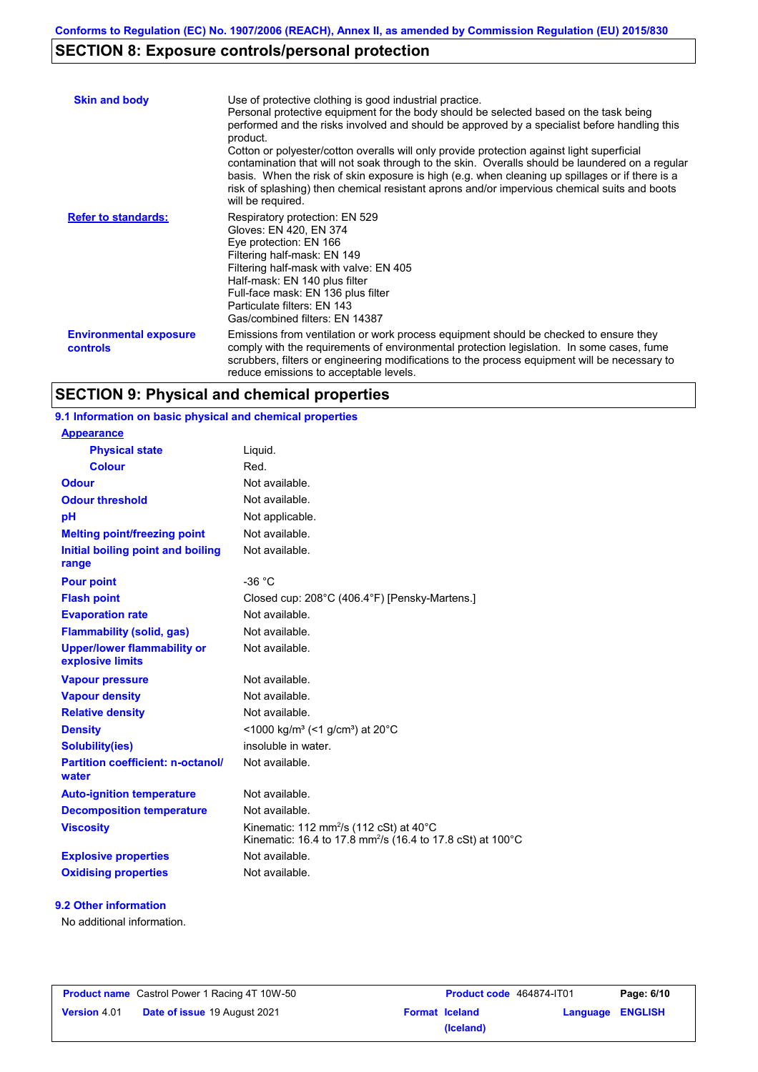## **SECTION 8: Exposure controls/personal protection**

| <b>Skin and body</b>                      | Use of protective clothing is good industrial practice.<br>Personal protective equipment for the body should be selected based on the task being<br>performed and the risks involved and should be approved by a specialist before handling this<br>product.<br>Cotton or polyester/cotton overalls will only provide protection against light superficial<br>contamination that will not soak through to the skin. Overalls should be laundered on a regular<br>basis. When the risk of skin exposure is high (e.g. when cleaning up spillages or if there is a<br>risk of splashing) then chemical resistant aprons and/or impervious chemical suits and boots<br>will be required. |
|-------------------------------------------|---------------------------------------------------------------------------------------------------------------------------------------------------------------------------------------------------------------------------------------------------------------------------------------------------------------------------------------------------------------------------------------------------------------------------------------------------------------------------------------------------------------------------------------------------------------------------------------------------------------------------------------------------------------------------------------|
| <b>Refer to standards:</b>                | Respiratory protection: EN 529<br>Gloves: EN 420, EN 374<br>Eye protection: EN 166<br>Filtering half-mask: EN 149<br>Filtering half-mask with valve: EN 405<br>Half-mask: EN 140 plus filter<br>Full-face mask: EN 136 plus filter<br>Particulate filters: EN 143<br>Gas/combined filters: EN 14387                                                                                                                                                                                                                                                                                                                                                                                   |
| <b>Environmental exposure</b><br>controls | Emissions from ventilation or work process equipment should be checked to ensure they<br>comply with the requirements of environmental protection legislation. In some cases, fume<br>scrubbers, filters or engineering modifications to the process equipment will be necessary to<br>reduce emissions to acceptable levels.                                                                                                                                                                                                                                                                                                                                                         |

## **SECTION 9: Physical and chemical properties**

| 9.1 Information on basic physical and chemical properties              |
|------------------------------------------------------------------------|
|                                                                        |
| Liquid.                                                                |
| Red.                                                                   |
| Not available.                                                         |
| Not available.                                                         |
| Not applicable.                                                        |
| Not available.                                                         |
| Not available.                                                         |
| $-36 °C$                                                               |
| Closed cup: 208°C (406.4°F) [Pensky-Martens.]                          |
| Not available.                                                         |
| Not available.                                                         |
| Not available.                                                         |
| Not available.                                                         |
| Not available.                                                         |
| Not available.                                                         |
| <1000 kg/m <sup>3</sup> (<1 g/cm <sup>3</sup> ) at 20 <sup>°</sup> C   |
| insoluble in water.                                                    |
| Not available.                                                         |
| Not available.                                                         |
| Not available.                                                         |
| Kinematic: 112 mm <sup>2</sup> /s (112 cSt) at $40^{\circ}$ C          |
| Kinematic: 16.4 to 17.8 mm <sup>2</sup> /s (16.4 to 17.8 cSt) at 100°C |
| Not available.                                                         |
|                                                                        |

#### **9.2 Other information**

No additional information.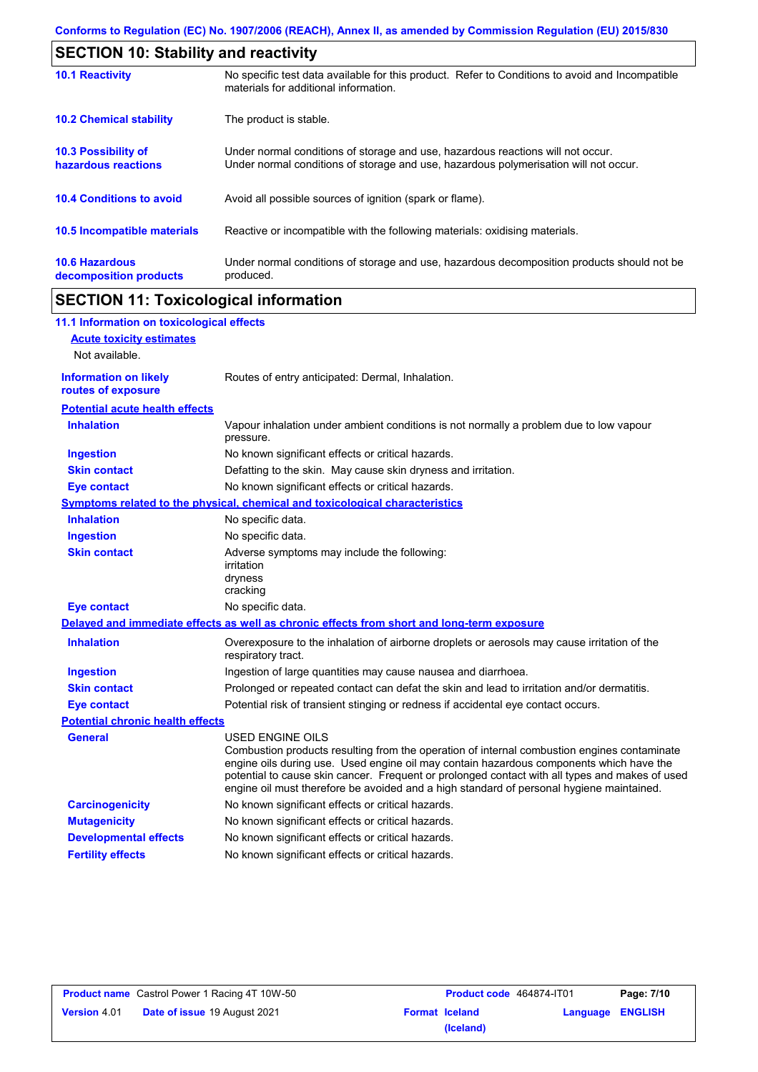| <b>SECTION 10: Stability and reactivity</b>       |                                                                                                                                                                         |  |  |
|---------------------------------------------------|-------------------------------------------------------------------------------------------------------------------------------------------------------------------------|--|--|
| <b>10.1 Reactivity</b>                            | No specific test data available for this product. Refer to Conditions to avoid and Incompatible<br>materials for additional information.                                |  |  |
| <b>10.2 Chemical stability</b>                    | The product is stable.                                                                                                                                                  |  |  |
| <b>10.3 Possibility of</b><br>hazardous reactions | Under normal conditions of storage and use, hazardous reactions will not occur.<br>Under normal conditions of storage and use, hazardous polymerisation will not occur. |  |  |
| <b>10.4 Conditions to avoid</b>                   | Avoid all possible sources of ignition (spark or flame).                                                                                                                |  |  |
| <b>10.5 Incompatible materials</b>                | Reactive or incompatible with the following materials: oxidising materials.                                                                                             |  |  |
| <b>10.6 Hazardous</b><br>decomposition products   | Under normal conditions of storage and use, hazardous decomposition products should not be<br>produced.                                                                 |  |  |

## **SECTION 11: Toxicological information**

| 11.1 Information on toxicological effects          |                                                                                                                                                                                                                                                                                                                                                                                                                 |
|----------------------------------------------------|-----------------------------------------------------------------------------------------------------------------------------------------------------------------------------------------------------------------------------------------------------------------------------------------------------------------------------------------------------------------------------------------------------------------|
| <b>Acute toxicity estimates</b>                    |                                                                                                                                                                                                                                                                                                                                                                                                                 |
| Not available.                                     |                                                                                                                                                                                                                                                                                                                                                                                                                 |
| <b>Information on likely</b><br>routes of exposure | Routes of entry anticipated: Dermal, Inhalation.                                                                                                                                                                                                                                                                                                                                                                |
| <b>Potential acute health effects</b>              |                                                                                                                                                                                                                                                                                                                                                                                                                 |
| <b>Inhalation</b>                                  | Vapour inhalation under ambient conditions is not normally a problem due to low vapour<br>pressure.                                                                                                                                                                                                                                                                                                             |
| <b>Ingestion</b>                                   | No known significant effects or critical hazards.                                                                                                                                                                                                                                                                                                                                                               |
| <b>Skin contact</b>                                | Defatting to the skin. May cause skin dryness and irritation.                                                                                                                                                                                                                                                                                                                                                   |
| <b>Eye contact</b>                                 | No known significant effects or critical hazards.                                                                                                                                                                                                                                                                                                                                                               |
|                                                    | <b>Symptoms related to the physical, chemical and toxicological characteristics</b>                                                                                                                                                                                                                                                                                                                             |
| <b>Inhalation</b>                                  | No specific data.                                                                                                                                                                                                                                                                                                                                                                                               |
| <b>Ingestion</b>                                   | No specific data.                                                                                                                                                                                                                                                                                                                                                                                               |
| <b>Skin contact</b>                                | Adverse symptoms may include the following:<br>irritation<br>dryness<br>cracking                                                                                                                                                                                                                                                                                                                                |
| <b>Eye contact</b>                                 | No specific data.                                                                                                                                                                                                                                                                                                                                                                                               |
|                                                    | Delayed and immediate effects as well as chronic effects from short and long-term exposure                                                                                                                                                                                                                                                                                                                      |
| <b>Inhalation</b>                                  | Overexposure to the inhalation of airborne droplets or aerosols may cause irritation of the<br>respiratory tract.                                                                                                                                                                                                                                                                                               |
| <b>Ingestion</b>                                   | Ingestion of large quantities may cause nausea and diarrhoea.                                                                                                                                                                                                                                                                                                                                                   |
| <b>Skin contact</b>                                | Prolonged or repeated contact can defat the skin and lead to irritation and/or dermatitis.                                                                                                                                                                                                                                                                                                                      |
| <b>Eye contact</b>                                 | Potential risk of transient stinging or redness if accidental eye contact occurs.                                                                                                                                                                                                                                                                                                                               |
| <b>Potential chronic health effects</b>            |                                                                                                                                                                                                                                                                                                                                                                                                                 |
| <b>General</b>                                     | <b>USED ENGINE OILS</b><br>Combustion products resulting from the operation of internal combustion engines contaminate<br>engine oils during use. Used engine oil may contain hazardous components which have the<br>potential to cause skin cancer. Frequent or prolonged contact with all types and makes of used<br>engine oil must therefore be avoided and a high standard of personal hygiene maintained. |
| <b>Carcinogenicity</b>                             | No known significant effects or critical hazards.                                                                                                                                                                                                                                                                                                                                                               |
| <b>Mutagenicity</b>                                | No known significant effects or critical hazards.                                                                                                                                                                                                                                                                                                                                                               |
| <b>Developmental effects</b>                       | No known significant effects or critical hazards.                                                                                                                                                                                                                                                                                                                                                               |
| <b>Fertility effects</b>                           | No known significant effects or critical hazards.                                                                                                                                                                                                                                                                                                                                                               |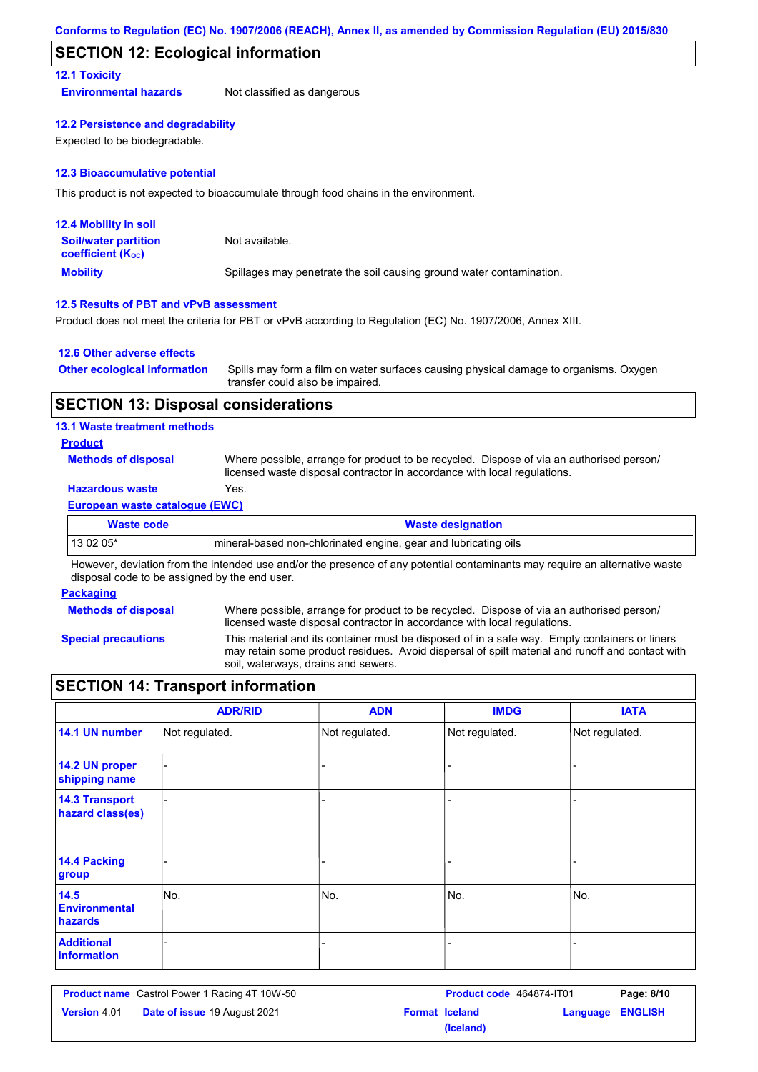## **SECTION 12: Ecological information**

#### **12.1 Toxicity**

**Environmental hazards** Not classified as dangerous

#### **12.2 Persistence and degradability**

Expected to be biodegradable.

#### **12.3 Bioaccumulative potential**

This product is not expected to bioaccumulate through food chains in the environment.

| <b>12.4 Mobility in soil</b>                            |                                                                      |
|---------------------------------------------------------|----------------------------------------------------------------------|
| <b>Soil/water partition</b><br><b>coefficient (Koc)</b> | Not available.                                                       |
| <b>Mobility</b>                                         | Spillages may penetrate the soil causing ground water contamination. |

#### **12.5 Results of PBT and vPvB assessment**

Product does not meet the criteria for PBT or vPvB according to Regulation (EC) No. 1907/2006, Annex XIII.

#### **12.6 Other adverse effects**

| <b>Other ecological information</b> | Spills may form a film on water surfaces causing physical damage to organisms. Oxygen |
|-------------------------------------|---------------------------------------------------------------------------------------|
|                                     | transfer could also be impaired.                                                      |

#### **SECTION 13: Disposal considerations**

#### **13.1 Waste treatment methods**

**Product**

**Methods of disposal**

Where possible, arrange for product to be recycled. Dispose of via an authorised person/ licensed waste disposal contractor in accordance with local regulations.

### **Hazardous waste** Yes.

#### **European waste catalogue (EWC)**

| Waste code | <b>Waste designation</b>                                        |
|------------|-----------------------------------------------------------------|
| 13 02 05*  | mineral-based non-chlorinated engine, gear and lubricating oils |

However, deviation from the intended use and/or the presence of any potential contaminants may require an alternative waste disposal code to be assigned by the end user.

#### **Packaging**

**Methods of disposal**

Where possible, arrange for product to be recycled. Dispose of via an authorised person/ licensed waste disposal contractor in accordance with local regulations.

**Special precautions**

This material and its container must be disposed of in a safe way. Empty containers or liners may retain some product residues. Avoid dispersal of spilt material and runoff and contact with soil, waterways, drains and sewers.

### **SECTION 14: Transport information**

|                                           | <b>ADR/RID</b> | <b>ADN</b>     | <b>IMDG</b>    | <b>IATA</b>    |
|-------------------------------------------|----------------|----------------|----------------|----------------|
| 14.1 UN number                            | Not regulated. | Not regulated. | Not regulated. | Not regulated. |
| 14.2 UN proper<br>shipping name           |                |                |                |                |
| <b>14.3 Transport</b><br>hazard class(es) |                |                |                |                |
| 14.4 Packing<br>group                     |                |                |                |                |
| 14.5<br><b>Environmental</b><br>hazards   | No.            | No.            | No.            | No.            |
| <b>Additional</b><br>information          |                |                | ۰              |                |

**Product name** Castrol Power 1 Racing 4T 10W-50 **Product code 464874-IT01 Page: 8/10 Version** 4.01 **Date of issue** 19 August 2021 **Format Iceland Language ENGLISH (Iceland)**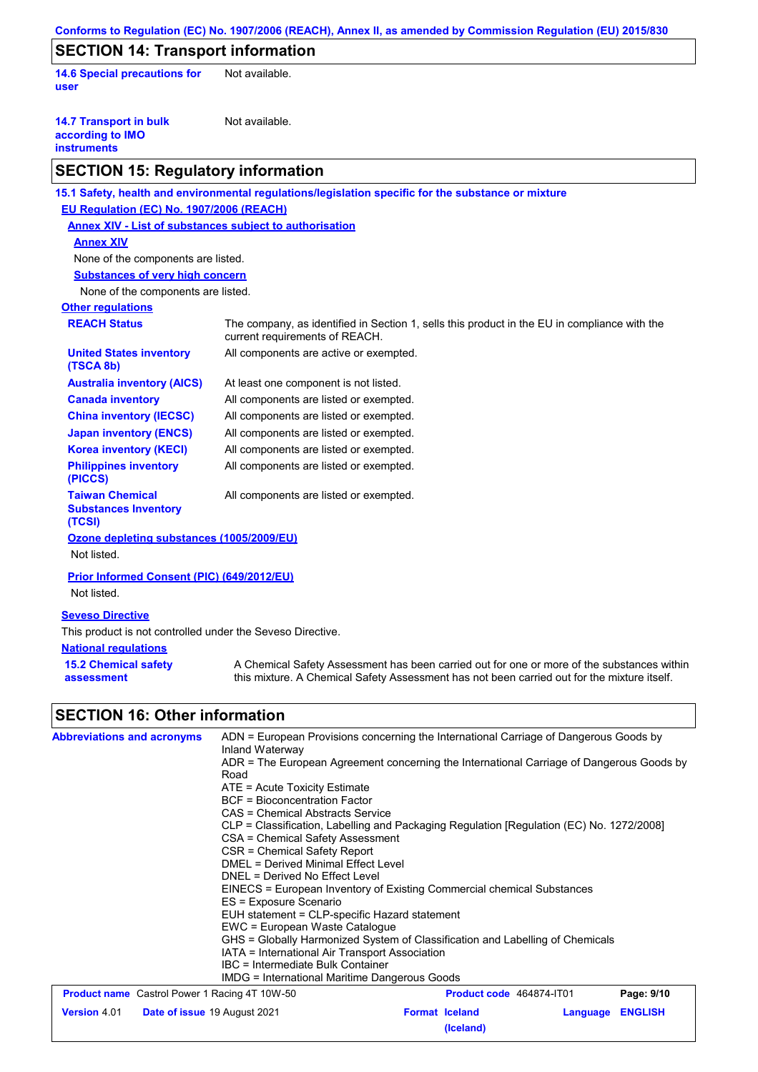| Conforms to Regulation (EC) No. 1907/2006 (REACH), Annex II, as amended by Commission Regulation (EU) 2015/830 |                                                                                                                                                                                           |  |  |  |  |  |  |
|----------------------------------------------------------------------------------------------------------------|-------------------------------------------------------------------------------------------------------------------------------------------------------------------------------------------|--|--|--|--|--|--|
| <b>SECTION 14: Transport information</b>                                                                       |                                                                                                                                                                                           |  |  |  |  |  |  |
| <b>14.6 Special precautions for</b><br>user                                                                    | Not available.                                                                                                                                                                            |  |  |  |  |  |  |
| <b>14.7 Transport in bulk</b><br>according to IMO<br><b>instruments</b>                                        | Not available.                                                                                                                                                                            |  |  |  |  |  |  |
| <b>SECTION 15: Regulatory information</b>                                                                      |                                                                                                                                                                                           |  |  |  |  |  |  |
|                                                                                                                | 15.1 Safety, health and environmental regulations/legislation specific for the substance or mixture                                                                                       |  |  |  |  |  |  |
| EU Regulation (EC) No. 1907/2006 (REACH)                                                                       |                                                                                                                                                                                           |  |  |  |  |  |  |
| <b>Annex XIV - List of substances subject to authorisation</b>                                                 |                                                                                                                                                                                           |  |  |  |  |  |  |
| <b>Annex XIV</b>                                                                                               |                                                                                                                                                                                           |  |  |  |  |  |  |
| None of the components are listed.                                                                             |                                                                                                                                                                                           |  |  |  |  |  |  |
| <b>Substances of very high concern</b>                                                                         |                                                                                                                                                                                           |  |  |  |  |  |  |
| None of the components are listed.                                                                             |                                                                                                                                                                                           |  |  |  |  |  |  |
| <b>Other regulations</b>                                                                                       |                                                                                                                                                                                           |  |  |  |  |  |  |
| <b>REACH Status</b>                                                                                            | The company, as identified in Section 1, sells this product in the EU in compliance with the<br>current requirements of REACH.                                                            |  |  |  |  |  |  |
| <b>United States inventory</b><br>(TSCA 8b)                                                                    | All components are active or exempted.                                                                                                                                                    |  |  |  |  |  |  |
| <b>Australia inventory (AICS)</b>                                                                              | At least one component is not listed.                                                                                                                                                     |  |  |  |  |  |  |
| <b>Canada inventory</b>                                                                                        | All components are listed or exempted.                                                                                                                                                    |  |  |  |  |  |  |
| <b>China inventory (IECSC)</b>                                                                                 | All components are listed or exempted.                                                                                                                                                    |  |  |  |  |  |  |
| <b>Japan inventory (ENCS)</b>                                                                                  | All components are listed or exempted.                                                                                                                                                    |  |  |  |  |  |  |
| <b>Korea inventory (KECI)</b>                                                                                  | All components are listed or exempted.                                                                                                                                                    |  |  |  |  |  |  |
| <b>Philippines inventory</b><br>(PICCS)                                                                        | All components are listed or exempted.                                                                                                                                                    |  |  |  |  |  |  |
| <b>Taiwan Chemical</b><br><b>Substances Inventory</b><br>(TCSI)                                                | All components are listed or exempted.                                                                                                                                                    |  |  |  |  |  |  |
| Ozone depleting substances (1005/2009/EU)                                                                      |                                                                                                                                                                                           |  |  |  |  |  |  |
| Not listed.                                                                                                    |                                                                                                                                                                                           |  |  |  |  |  |  |
| Prior Informed Consent (PIC) (649/2012/EU)                                                                     |                                                                                                                                                                                           |  |  |  |  |  |  |
| Not listed.                                                                                                    |                                                                                                                                                                                           |  |  |  |  |  |  |
| <b>Seveso Directive</b>                                                                                        |                                                                                                                                                                                           |  |  |  |  |  |  |
| This product is not controlled under the Seveso Directive.                                                     |                                                                                                                                                                                           |  |  |  |  |  |  |
| <b>National regulations</b>                                                                                    |                                                                                                                                                                                           |  |  |  |  |  |  |
| <b>15.2 Chemical safety</b><br>assessment                                                                      | A Chemical Safety Assessment has been carried out for one or more of the substances within<br>this mixture. A Chemical Safety Assessment has not been carried out for the mixture itself. |  |  |  |  |  |  |
| <b>SECTION 16: Other information</b>                                                                           |                                                                                                                                                                                           |  |  |  |  |  |  |
| <b>Abbreviations and acronyms</b>                                                                              | ADN = European Provisions concerning the International Carriage of Dangerous Goods by                                                                                                     |  |  |  |  |  |  |
|                                                                                                                | Inland Waterway<br>ADR = The European Agreement concerning the International Carriage of Dangerous Goods by                                                                               |  |  |  |  |  |  |
|                                                                                                                | Road                                                                                                                                                                                      |  |  |  |  |  |  |
|                                                                                                                | ATE = Acute Toxicity Estimate                                                                                                                                                             |  |  |  |  |  |  |
|                                                                                                                | <b>BCF = Bioconcentration Factor</b><br>CAS = Chemical Abstracts Service                                                                                                                  |  |  |  |  |  |  |
|                                                                                                                | CLP = Classification, Labelling and Packaging Regulation [Regulation (EC) No. 1272/2008]                                                                                                  |  |  |  |  |  |  |
|                                                                                                                | CSA = Chemical Safety Assessment                                                                                                                                                          |  |  |  |  |  |  |
|                                                                                                                | CSR = Chemical Safety Report<br>DMEL = Derived Minimal Effect Level                                                                                                                       |  |  |  |  |  |  |
|                                                                                                                | DNEL = Derived No Effect Level                                                                                                                                                            |  |  |  |  |  |  |
|                                                                                                                | EINECS = European Inventory of Existing Commercial chemical Substances<br>ES = Exposure Scenario                                                                                          |  |  |  |  |  |  |
|                                                                                                                | EUH statement = CLP-specific Hazard statement                                                                                                                                             |  |  |  |  |  |  |
|                                                                                                                | EWC = European Waste Catalogue                                                                                                                                                            |  |  |  |  |  |  |
|                                                                                                                | GHS = Globally Harmonized System of Classification and Labelling of Chemicals<br>IATA = International Air Transport Association                                                           |  |  |  |  |  |  |
|                                                                                                                | IBC = Intermediate Bulk Container                                                                                                                                                         |  |  |  |  |  |  |
|                                                                                                                | <b>IMDG = International Maritime Dangerous Goods</b><br>Coetrol Dower 1 Doeing 4T 1014 50<br>$D200$ , 0/10<br><b>Droduct code</b> 464974 IT01                                             |  |  |  |  |  |  |

| <b>Product name</b> Castrol Power 1 Racing 4T 10W-50 |                                     |                       | <b>Product code</b> 464874-IT01 |                         | Page: 9/10 |
|------------------------------------------------------|-------------------------------------|-----------------------|---------------------------------|-------------------------|------------|
| <b>Version 4.01</b>                                  | <b>Date of issue 19 August 2021</b> | <b>Format Iceland</b> |                                 | <b>Language ENGLISH</b> |            |
|                                                      |                                     |                       | (Iceland)                       |                         |            |